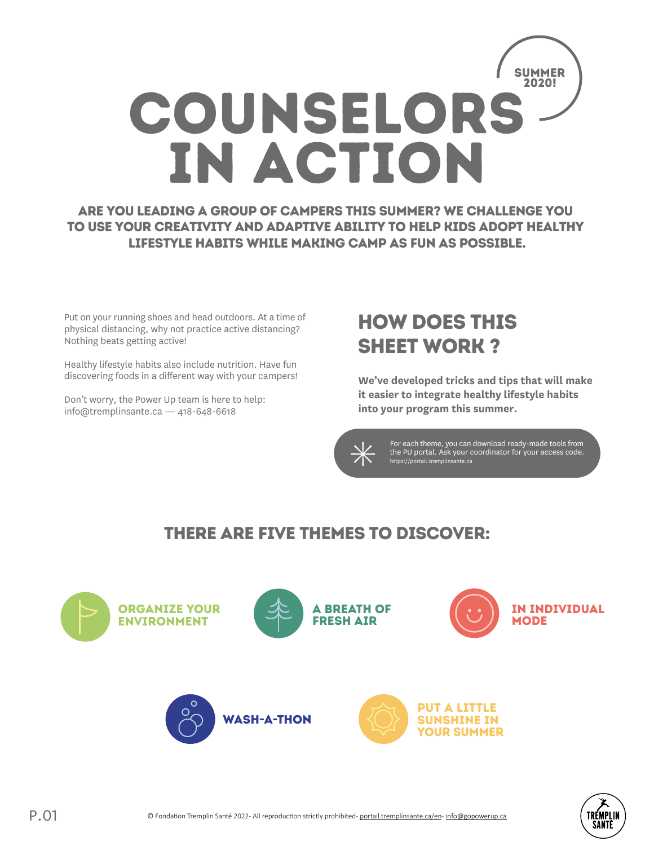

Are you leading a group of campers this summer? We challenge you to use your creativity and adaptive ability to help kids adopt healthy lifestyle habits while making camp as fun as possible.

Put on your running shoes and head outdoors. At a time of physical distancing, why not practice active distancing? Nothing beats getting active!

Healthy lifestyle habits also include nutrition. Have fun discovering foods in a different way with your campers!

Don't worry, the Power Up team is here to help: info@tremplinsante.ca — 418-648-6618

## How does this sheet work ?

**We've developed tricks and tips that will make it easier to integrate healthy lifestyle habits into your program this summer.**



For each theme, you can download ready-made tools from the PU portal. Ask your coordinator for your access code. https://portail.tremplinsante.ca

### There are five themes to discover:



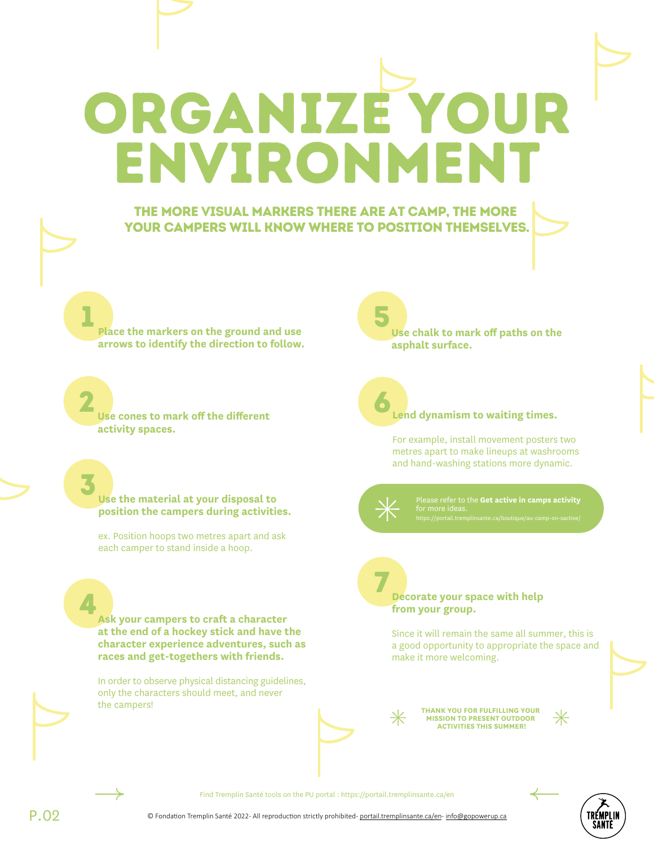ORGANIZE YOUR ENVIRONMENT

#### The more visual markers there are at camp, The more your campers will know where to position themselves.

1 **Place the markers on the ground and use arrows to identify the direction to follow.** 

2 **Use cones to mark off the different activity spaces.** 

3 **Use the material at your disposal to position the campers during activities.** 

ex. Position hoops two metres apart and ask each camper to stand inside a hoop.

**Ask your campers to craft a character at the end of a hockey stick and have the character experience adventures, such as races and get-togethers with friends.** 

In order to observe physical distancing guidelines, only the characters should meet, and never the campers!

5 **Use chalk to mark off paths on the asphalt surface.**

#### **Lend dynamism to waiting times.**

For example, install movement posters two metres apart to make lineups at washrooms and hand-washing stations more dynamic.



6

Please refer to the **Get active in camps activity**

#### 7 **Decorate your space with help from your group.**

Since it will remain the same all summer, this is a good opportunity to appropriate the space and make it more welcoming.



**THANK YOU FOR FULFILLING YOUR MISSION TO PRESENT OUTDOOR ACTIVITIES THIS SUMMER!**

4

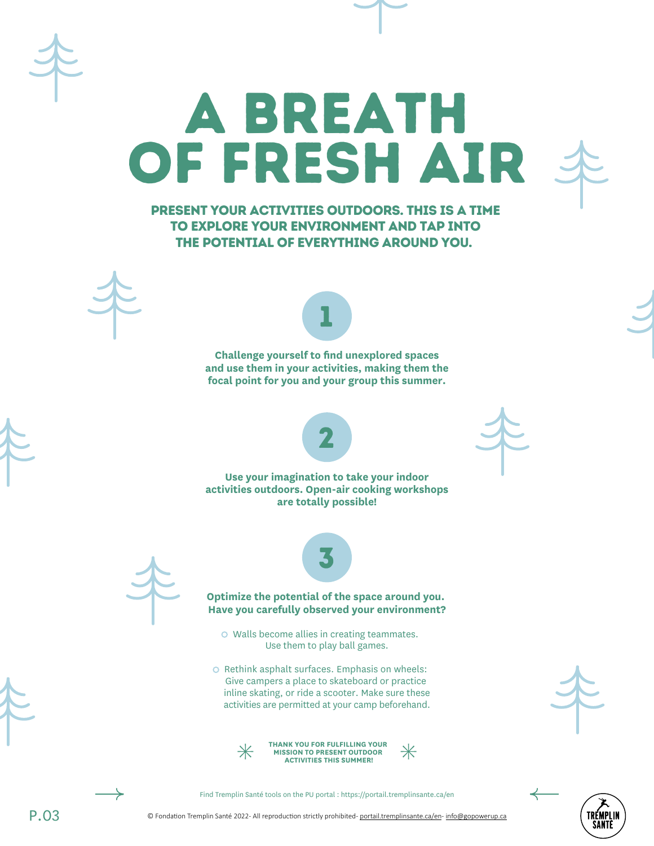Present your activities outdoors. This is a time to explore your environment and tap into the potential of everything around you.

OF FRESH AI

A breath



1

**Challenge yourself to find unexplored spaces and use them in your activities, making them the focal point for you and your group this summer.**



**Use your imagination to take your indoor activities outdoors. Open-air cooking workshops are totally possible!**





#### **Optimize the potential of the space around you. Have you carefully observed your environment?**

o Walls become allies in creating teammates. Use them to play ball games.

O Rethink asphalt surfaces. Emphasis on wheels: Give campers a place to skateboard or practice inline skating, or ride a scooter. Make sure these activities are permitted at your camp beforehand.









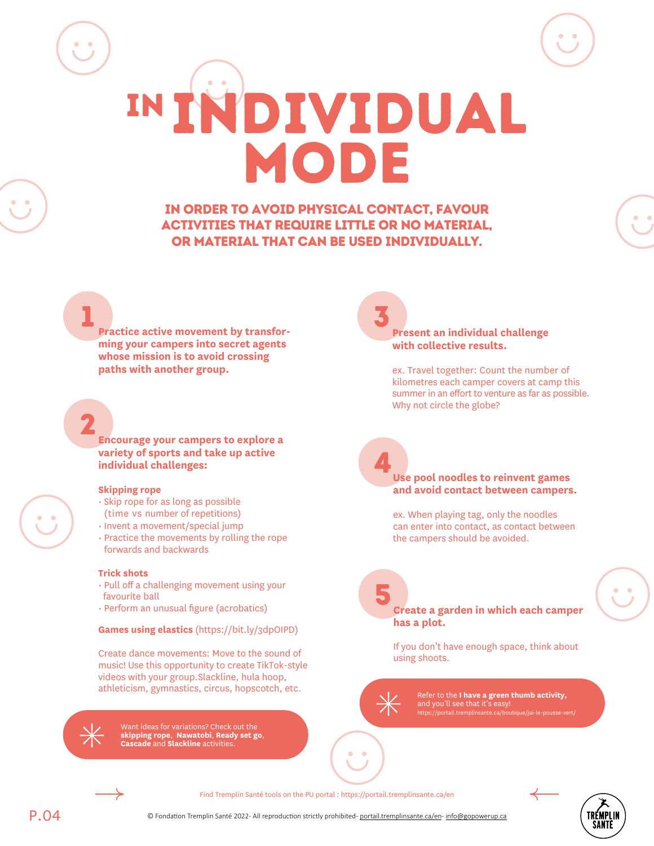In order to avoid physical contact, favour activities that require little or no material, or material that can be used individually.

IN INDIVIDUAL

MODE

**1**<br>**Practice active movement by transforming your campers into secret agents whose mission is to avoid crossing paths with another group.** 

2 **Encourage your campers to explore a variety of sports and take up active individual challenges:**

#### **Skipping rope**

- Skip rope for as long as possible (time vs number of repetitions)
- 
- Invent a movement/special jump Practice the movements by rolling the rope forwards and backwards

#### **Trick shots**

- Pull off a challenging movement using your favourite ball
- Perform an unusual figure (acrobatics)

#### **Games using elastics** (https://bit.ly/3dpOIPD)

Create dance movements: Move to the sound of music! Use this opportunity to create TikTok-style videos with your group.Slackline, hula hoop, athleticism, gymnastics, circus, hopscotch, etc.



Want ideas for variations? Check out the **skipping rope**, **Nawatobi**, **Ready set go**, **Cascade** and **Slackline** activities.

**Present an individual challenge with collective results.** 

ex. Travel together: Count the number of kilometres each camper covers at camp this summer in an effort to venture as far as possible. Why not circle the globe?

#### **Use pool noodles to reinvent games and avoid contact between campers.**

4

ex. When playing tag, only the noodles can enter into contact, as contact between the campers should be avoided.

#### 5 **Create a garden in which each camper has a plot.**

If you don't have enough space, think about using shoots.

Refer to the **I have a green thumb activity,** and you'll see that it's easy! https://portail.tremplinsante.ca/boutique/jai-le-pousse-vert/

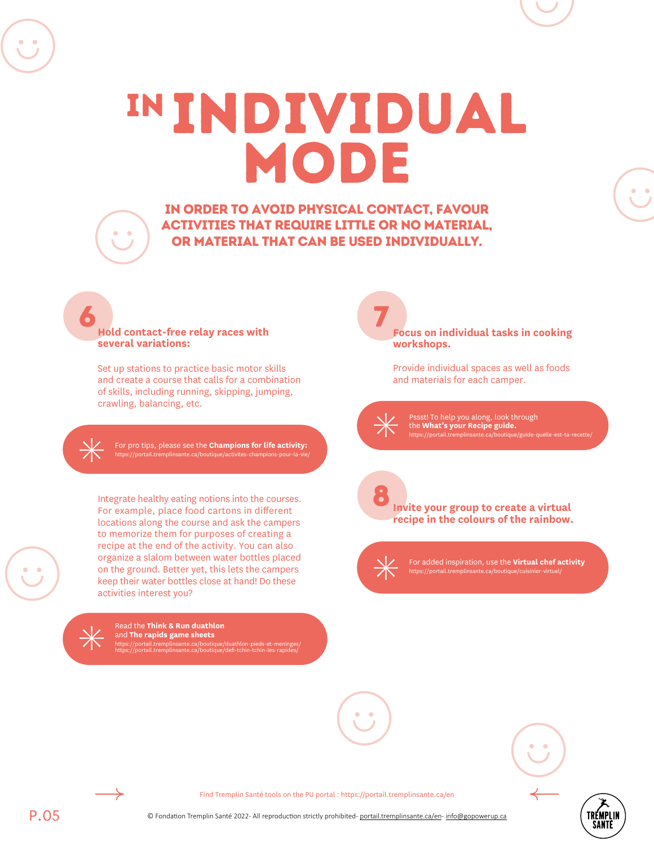IN Individual MODE

In order to avoid physical contact, favour activities that require little or no material, or material that can be used individually.

7

#### 6 **Hold contact-free relay races with several variations:**

 $\bullet$ 

Set up stations to practice basic motor skills and create a course that calls for a combination of skills, including running, skipping, jumping, crawling, balancing, etc.

For pro tips, please see the **Champions for life activity:** https://portail.tremplinsante.ca/boutique/activites-champions-pour-la-vie/

Integrate healthy eating notions into the courses. For example, place food cartons in different locations along the course and ask the campers to memorize them for purposes of creating a recipe at the end of the activity. You can also organize a slalom between water bottles placed on the ground. Better yet, this lets the campers keep their water bottles close at hand! Do these activities interest you?



Read the **Think & Run duathlon** and **The rapids game sheets** https://portail.tremplinsante.ca/boutique/duathlon-pieds-et-meninges/ https://portail.tremplinsante.ca/boutique/defi-tchin-tchin-les-rapides/

**Focus on individual tasks in cooking workshops.**

Provide individual spaces as well as foods and materials for each camper.

Pssst! To help you along, look through the **What's your Recipe guide.** https://portail.tremplinsante.ca/boutique/guide-quelle-est-ta-recette/



For added inspiration, use the **Virtual chef activity** https://portail.tremplinsante.ca/boutique/cuisinier-virtuel



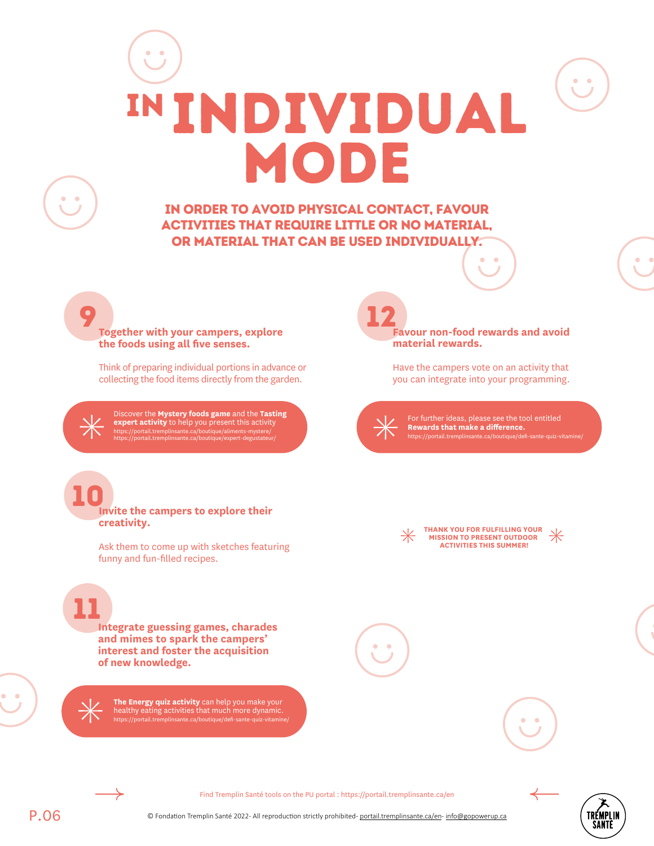# IN Individual mode

In order to avoid physical contact, favour activities that require little or no material, or material that can be used individually.

**Together with your campers, explore the foods using all five senses.**

9

 $\bullet$ 

10

**creativity.**

Think of preparing individual portions in advance or collecting the food items directly from the garden.

Discover the **Mystery foods game** and the **Tasting expert activity** to help you present this activity https://portail.tremplinsante.ca/boutique/aliments-mystere/ https://portail.tremplinsante.ca/boutique/expert-degustateur/

**Invite the campers to explore their** 

Ask them to come up with sketches featuring

12 **Favour non-food rewards and avoid material rewards.** 

> Have the campers vote on an activity that you can integrate into your programming.

For further ideas, please see the tool entitled **Rewards that make a difference.** https://portail.tremplinsante.ca/boutique/defi-sa

| × |  |
|---|--|
|   |  |

**THANK YOU FOR FULFILLING YOUR MISSION TO PRESENT OUTDOOR ACTIVITIES THIS SUMMER!**

11 **Integrate guessing games, charades and mimes to spark the campers' interest and foster the acquisition of new knowledge.**

funny and fun-filled recipes.

**The Energy quiz activity** can help you make your healthy eating activities that much more dynamic. https://portail.tremplinsante.ca/boutique/defi-sante-quiz-vitamine/



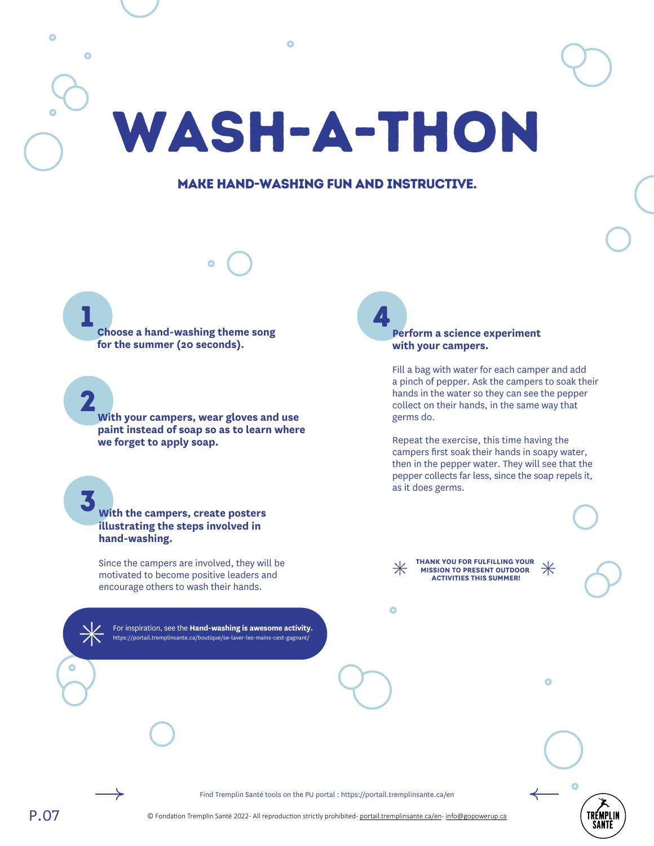$\bullet$ Wash-a-thon

Ō

#### Make hand-washing fun and instructive.

1 **Choose a hand-washing theme song for the summer (20 seconds).** 

2

 $\bullet$ 

3

**With your campers, wear gloves and use paint instead of soap so as to learn where we forget to apply soap.**

**With the campers, create posters illustrating the steps involved in hand-washing.** 

Since the campers are involved, they will be motivated to become positive leaders and encourage others to wash their hands.

For inspiration, see the **Hand-washing is awesome activity.** https://portail.tremplinsante.ca/boutique/se-laver-les-mains-cest-gagnant/

4 **Perform a science experiment with your campers.**

> Fill a bag with water for each camper and add a pinch of pepper. Ask the campers to soak their hands in the water so they can see the pepper collect on their hands, in the same way that germs do.

Repeat the exercise, this time having the campers first soak their hands in soapy water, then in the pepper water. They will see that the pepper collects far less, since the soap repels it, as it does germs.

ö

**THANK YOU FOR FULFILLING YOUR MISSION TO PRESENT OUTDOOR ACTIVITIES THIS SUMMER!**

Ō

 $\bullet$ 

TRÉMPLIN

Find Tremplin Santé tools on the PU portal : https://portail.tremplinsante.ca/en

© Fondation Tremplin Santé 2022- All reproduction strictly prohibited- [portail.tremplinsante.ca/en](http://portail.tremplinsante.ca/en)- [info@gopowerup.ca](mailto:info%40gopowerup.ca?subject=)